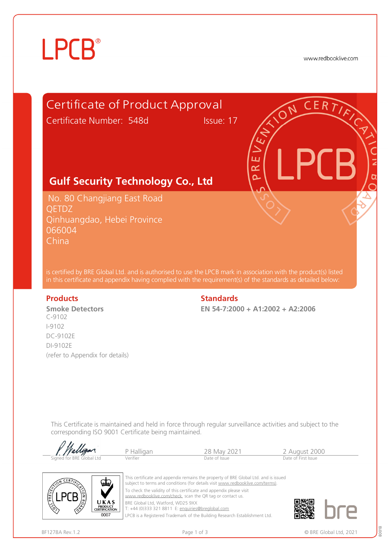# **LPCB**®

www.redbooklive.com



P Halligan 28 May 2021 2 August 2000<br>
Verifier Date of Issue Date of Issue Date of First Issue allig for BRE Global Ltd



This certificate and appendix remains the property of BRE Global Ltd. and is issued subject to terms and conditions (for details visit [www.redbooklive.com/terms\)](http://www.redbooklive.com/terms)). To check the validity of this certificate and appendix please visit [www.redbooklive.com/check,](http://www.redbooklive.com/check) scan the QR tag or contact us. BRE Global Ltd, Watford, WD25 9XX

T: +44 (0)333 321 8811 E: [enquiries@breglobal.com](mailto:enquiries@breglobal.com)

LPCB is a Registered Trademark of the Building Research Establishment Ltd.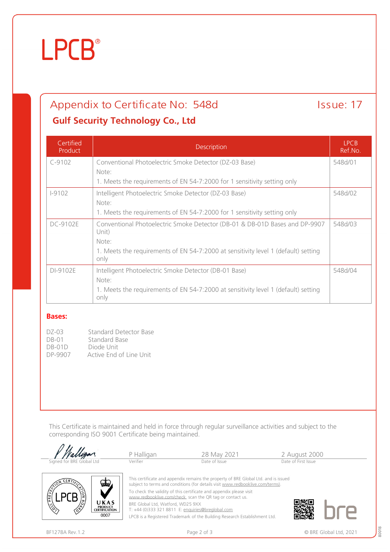# **LPCB**®

## Appendix to Certificate No: 548d Issue: 17

#### **Gulf Security Technology Co., Ltd**

| Certified<br>Product | Description                                                                                | <b>IPCB</b><br>Ref.No. |
|----------------------|--------------------------------------------------------------------------------------------|------------------------|
| $C-9102$             | Conventional Photoelectric Smoke Detector (DZ-03 Base)                                     | 548d/01                |
|                      | Note:                                                                                      |                        |
|                      | 1. Meets the requirements of EN 54-7:2000 for 1 sensitivity setting only                   |                        |
| $1 - 9102$           | Intelligent Photoelectric Smoke Detector (DZ-03 Base)                                      | 548d/02                |
|                      | Note:                                                                                      |                        |
|                      | 1. Meets the requirements of EN 54-7:2000 for 1 sensitivity setting only                   |                        |
| DC-9102E             | Conventional Photoelectric Smoke Detector (DB-01 & DB-01D Bases and DP-9907<br>Unit)       | 548d/03                |
|                      | Note:                                                                                      |                        |
|                      | 1. Meets the requirements of EN 54-7:2000 at sensitivity level 1 (default) setting<br>only |                        |
| DI-9102E             | Intelligent Photoelectric Smoke Detector (DB-01 Base)                                      | 548d/04                |
|                      | Note:                                                                                      |                        |
|                      | 1. Meets the requirements of EN 54-7:2000 at sensitivity level 1 (default) setting<br>only |                        |

#### **Bases:**

| DZ-03   | Standard Detector Base  |
|---------|-------------------------|
| DB-01   | Standard Base           |
| DB-01D  | Diode Unit              |
| DP-9907 | Active End of Line Unit |

This Certificate is maintained and held in force through regular surveillance activities and subject to the corresponding ISO 9001 Certificate being maintained.





subject to terms and conditions (for details visit [www.redbooklive.com/terms\)](http://www.redbooklive.com/terms)). To check the validity of this certificate and appendix please visit

[www.redbooklive.com/check](http://www.redbooklive.com/check), scan the QR tag or contact us.

BRE Global Ltd, Watford, WD25 9XX

T: +44 (0)333 321 8811 E: [enquiries@breglobal.com](mailto:enquiries@breglobal.com)

LPCB is a Registered Trademark of the Building Research Establishment Ltd.

80018